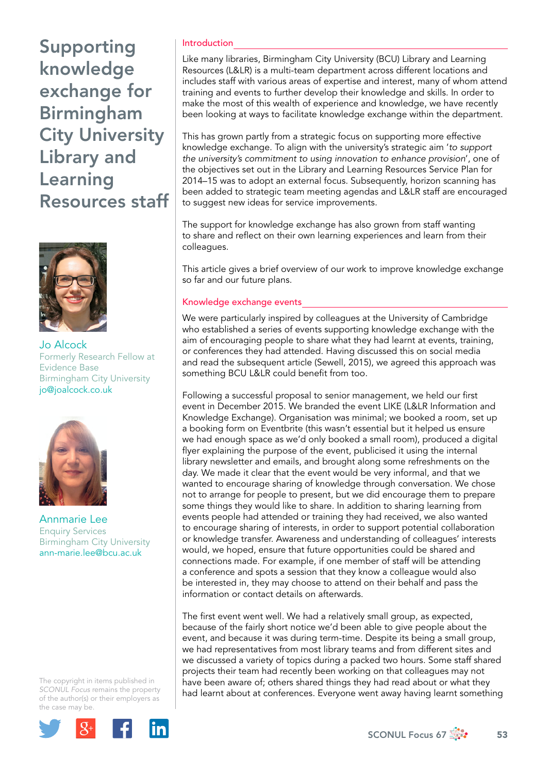Supporting knowledge exchange for Birmingham City University Library and Learning Resources staff



Jo Alcock Formerly Research Fellow at Evidence Base Birmingham City University [jo@joalcock.co.uk](mailto:jo@joalcock.co.uk)



Annmarie Lee Enquiry Services Birmingham City University [ann-marie.lee@bcu.ac.uk](mailto:ann-marie.lee@bcu.ac.uk)

The copyright in items published in *SCONUL Focus* remains the property of the author(s) or their employers as the case may be.



## Introduction

Like many libraries, Birmingham City University (BCU) Library and Learning Resources (L&LR) is a multi-team department across different locations and includes staff with various areas of expertise and interest, many of whom attend training and events to further develop their knowledge and skills. In order to make the most of this wealth of experience and knowledge, we have recently been looking at ways to facilitate knowledge exchange within the department.

This has grown partly from a strategic focus on supporting more effective knowledge exchange. To align with the university's strategic aim '*to support the university's commitment to using innovation to enhance provision*', one of the objectives set out in the Library and Learning Resources Service Plan for 2014–15 was to adopt an external focus. Subsequently, horizon scanning has been added to strategic team meeting agendas and L&LR staff are encouraged to suggest new ideas for service improvements.

The support for knowledge exchange has also grown from staff wanting to share and reflect on their own learning experiences and learn from their colleagues.

This article gives a brief overview of our work to improve knowledge exchange so far and our future plans.

### Knowledge exchange events

We were particularly inspired by colleagues at the University of Cambridge who established a series of events supporting knowledge exchange with the aim of encouraging people to share what they had learnt at events, training, or conferences they had attended. Having discussed this on social media and read the subsequent article (Sewell, 2015), we agreed this approach was something BCU L&LR could benefit from too.

Following a successful proposal to senior management, we held our first event in December 2015. We branded the event LIKE (L&LR Information and Knowledge Exchange). Organisation was minimal; we booked a room, set up a booking form on Eventbrite (this wasn't essential but it helped us ensure we had enough space as we'd only booked a small room), produced a digital flyer explaining the purpose of the event, publicised it using the internal library newsletter and emails, and brought along some refreshments on the day. We made it clear that the event would be very informal, and that we wanted to encourage sharing of knowledge through conversation. We chose not to arrange for people to present, but we did encourage them to prepare some things they would like to share. In addition to sharing learning from events people had attended or training they had received, we also wanted to encourage sharing of interests, in order to support potential collaboration or knowledge transfer. Awareness and understanding of colleagues' interests would, we hoped, ensure that future opportunities could be shared and connections made. For example, if one member of staff will be attending a conference and spots a session that they know a colleague would also be interested in, they may choose to attend on their behalf and pass the information or contact details on afterwards.

The first event went well. We had a relatively small group, as expected, because of the fairly short notice we'd been able to give people about the event, and because it was during term-time. Despite its being a small group, we had representatives from most library teams and from different sites and we discussed a variety of topics during a packed two hours. Some staff shared projects their team had recently been working on that colleagues may not have been aware of; others shared things they had read about or what they had learnt about at conferences. Everyone went away having learnt something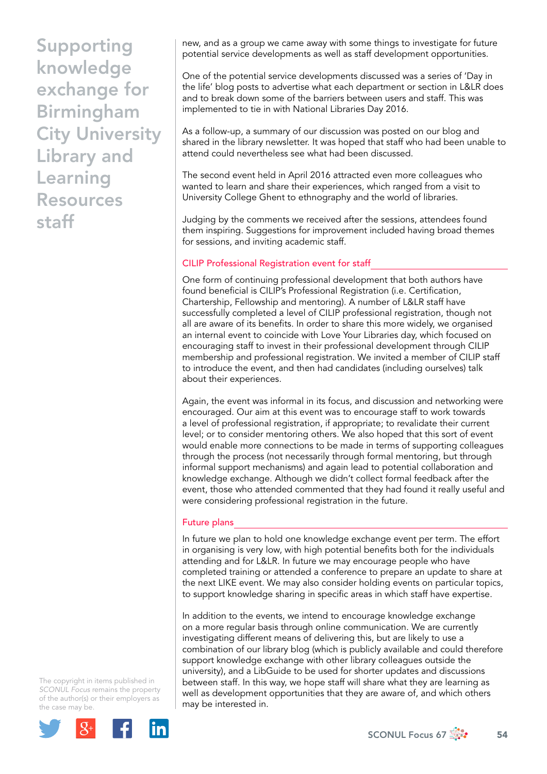Supporting knowledge exchange for Birmingham City University Library and Learning Resources staff

new, and as a group we came away with some things to investigate for future potential service developments as well as staff development opportunities.

One of the potential service developments discussed was a series of 'Day in the life' blog posts to advertise what each department or section in L&LR does and to break down some of the barriers between users and staff. This was implemented to tie in with National Libraries Day 2016.

As a follow-up, a summary of our discussion was posted on our blog and shared in the library newsletter. It was hoped that staff who had been unable to attend could nevertheless see what had been discussed.

The second event held in April 2016 attracted even more colleagues who wanted to learn and share their experiences, which ranged from a visit to University College Ghent to ethnography and the world of libraries.

Judging by the comments we received after the sessions, attendees found them inspiring. Suggestions for improvement included having broad themes for sessions, and inviting academic staff.

# CILIP Professional Registration event for staff

One form of continuing professional development that both authors have found beneficial is CILIP's Professional Registration (i.e. Certification, Chartership, Fellowship and mentoring). A number of L&LR staff have successfully completed a level of CILIP professional registration, though not all are aware of its benefits. In order to share this more widely, we organised an internal event to coincide with Love Your Libraries day, which focused on encouraging staff to invest in their professional development through CILIP membership and professional registration. We invited a member of CILIP staff to introduce the event, and then had candidates (including ourselves) talk about their experiences.

Again, the event was informal in its focus, and discussion and networking were encouraged. Our aim at this event was to encourage staff to work towards a level of professional registration, if appropriate; to revalidate their current level; or to consider mentoring others. We also hoped that this sort of event would enable more connections to be made in terms of supporting colleagues through the process (not necessarily through formal mentoring, but through informal support mechanisms) and again lead to potential collaboration and knowledge exchange. Although we didn't collect formal feedback after the event, those who attended commented that they had found it really useful and were considering professional registration in the future.

## Future plans

In future we plan to hold one knowledge exchange event per term. The effort in organising is very low, with high potential benefits both for the individuals attending and for L&LR. In future we may encourage people who have completed training or attended a conference to prepare an update to share at the next LIKE event. We may also consider holding events on particular topics, to support knowledge sharing in specific areas in which staff have expertise.

In addition to the events, we intend to encourage knowledge exchange on a more regular basis through online communication. We are currently investigating different means of delivering this, but are likely to use a combination of our library blog (which is publicly available and could therefore support knowledge exchange with other library colleagues outside the university), and a LibGuide to be used for shorter updates and discussions between staff. In this way, we hope staff will share what they are learning as well as development opportunities that they are aware of, and which others may be interested in.

The copyright in items published in *SCONUL Focus* remains the property of the author(s) or their employers as the case may be.



SCONUL Focus 67 $\frac{3}{200}$  54